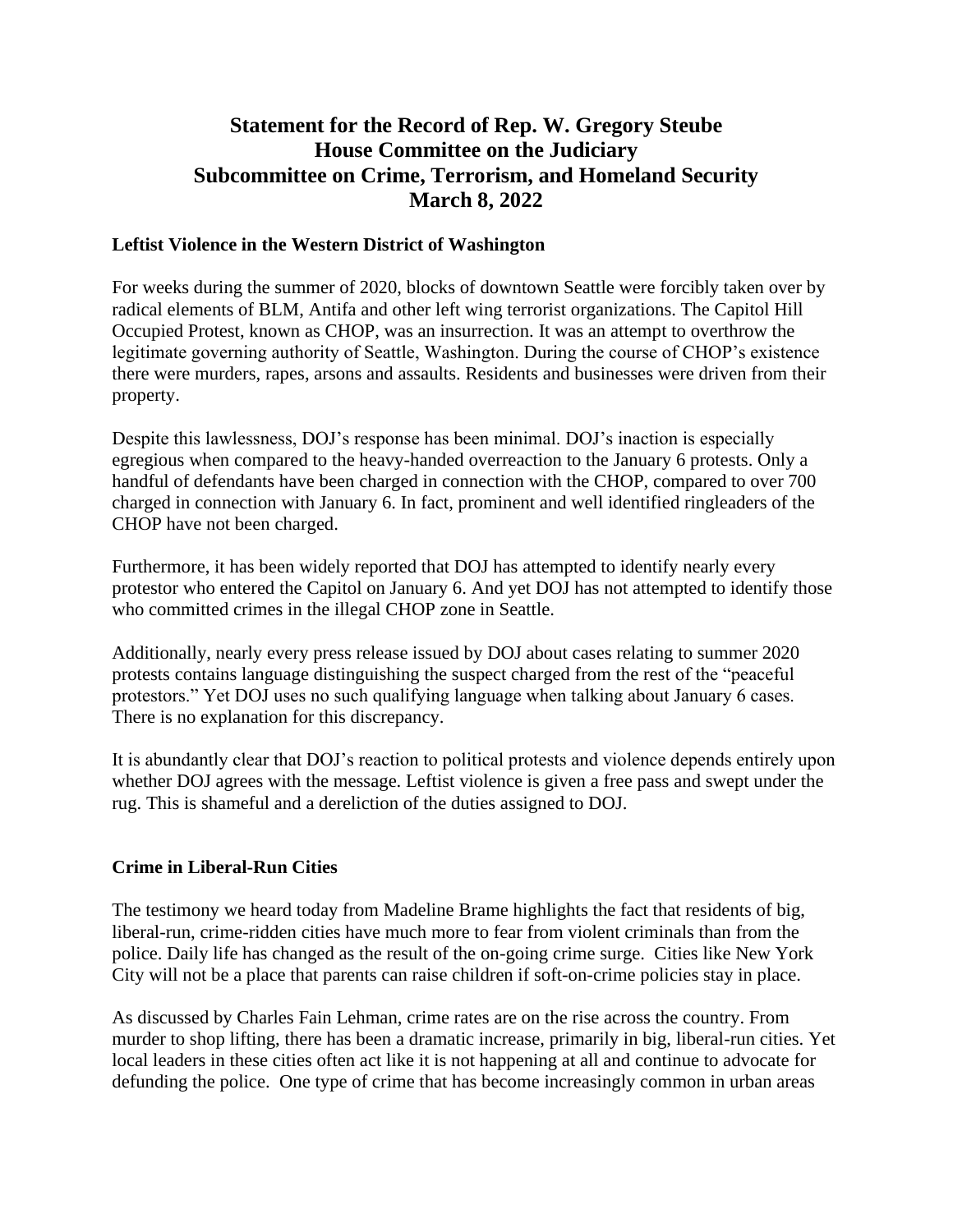## **Statement for the Record of Rep. W. Gregory Steube House Committee on the Judiciary Subcommittee on Crime, Terrorism, and Homeland Security March 8, 2022**

## **Leftist Violence in the Western District of Washington**

For weeks during the summer of 2020, blocks of downtown Seattle were forcibly taken over by radical elements of BLM, Antifa and other left wing terrorist organizations. The Capitol Hill Occupied Protest, known as CHOP, was an insurrection. It was an attempt to overthrow the legitimate governing authority of Seattle, Washington. During the course of CHOP's existence there were murders, rapes, arsons and assaults. Residents and businesses were driven from their property.

Despite this lawlessness, DOJ's response has been minimal. DOJ's inaction is especially egregious when compared to the heavy-handed overreaction to the January 6 protests. Only a handful of defendants have been charged in connection with the CHOP, compared to over 700 charged in connection with January 6. In fact, prominent and well identified ringleaders of the CHOP have not been charged.

Furthermore, it has been widely reported that DOJ has attempted to identify nearly every protestor who entered the Capitol on January 6. And yet DOJ has not attempted to identify those who committed crimes in the illegal CHOP zone in Seattle.

Additionally, nearly every press release issued by DOJ about cases relating to summer 2020 protests contains language distinguishing the suspect charged from the rest of the "peaceful protestors." Yet DOJ uses no such qualifying language when talking about January 6 cases. There is no explanation for this discrepancy.

It is abundantly clear that DOJ's reaction to political protests and violence depends entirely upon whether DOJ agrees with the message. Leftist violence is given a free pass and swept under the rug. This is shameful and a dereliction of the duties assigned to DOJ.

## **Crime in Liberal-Run Cities**

The testimony we heard today from Madeline Brame highlights the fact that residents of big, liberal-run, crime-ridden cities have much more to fear from violent criminals than from the police. Daily life has changed as the result of the on-going crime surge. Cities like New York City will not be a place that parents can raise children if soft-on-crime policies stay in place.

As discussed by Charles Fain Lehman, crime rates are on the rise across the country. From murder to shop lifting, there has been a dramatic increase, primarily in big, liberal-run cities. Yet local leaders in these cities often act like it is not happening at all and continue to advocate for defunding the police. One type of crime that has become increasingly common in urban areas